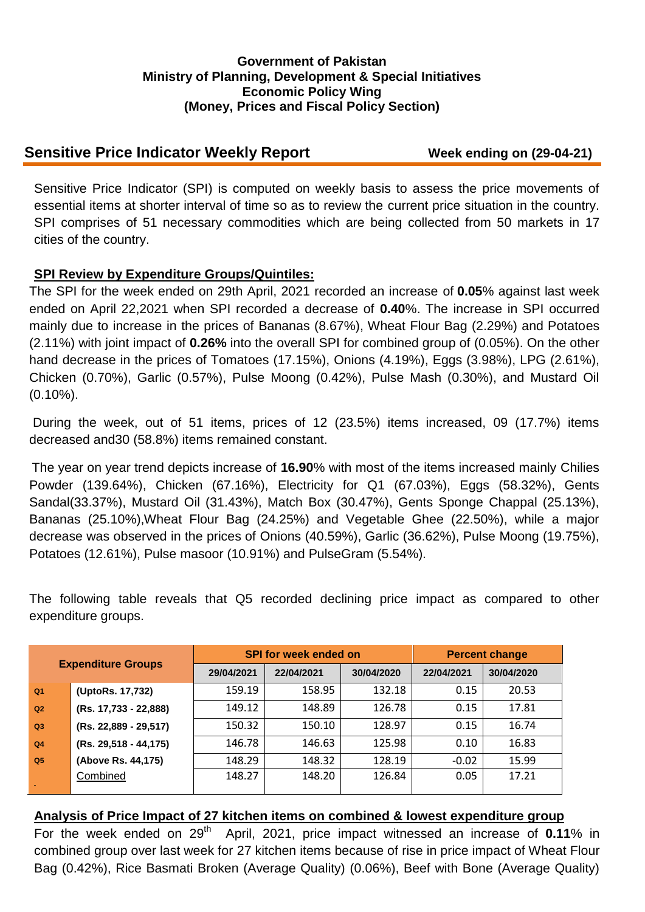### **Government of Pakistan Ministry of Planning, Development & Special Initiatives Economic Policy Wing (Money, Prices and Fiscal Policy Section)**

# **Sensitive Price Indicator Weekly Report Week ending on (29-04-21)**

Sensitive Price Indicator (SPI) is computed on weekly basis to assess the price movements of essential items at shorter interval of time so as to review the current price situation in the country. SPI comprises of 51 necessary commodities which are being collected from 50 markets in 17 cities of the country.

### **SPI Review by Expenditure Groups/Quintiles:**

The SPI for the week ended on 29th April, 2021 recorded an increase of **0.05**% against last week ended on April 22,2021 when SPI recorded a decrease of **0.40**%. The increase in SPI occurred mainly due to increase in the prices of Bananas (8.67%), Wheat Flour Bag (2.29%) and Potatoes (2.11%) with joint impact of **0.26%** into the overall SPI for combined group of (0.05%). On the other hand decrease in the prices of Tomatoes (17.15%), Onions (4.19%), Eggs (3.98%), LPG (2.61%), Chicken (0.70%), Garlic (0.57%), Pulse Moong (0.42%), Pulse Mash (0.30%), and Mustard Oil (0.10%).

During the week, out of 51 items, prices of 12 (23.5%) items increased, 09 (17.7%) items decreased and30 (58.8%) items remained constant.

The year on year trend depicts increase of **16.90**% with most of the items increased mainly Chilies Powder (139.64%), Chicken (67.16%), Electricity for Q1 (67.03%), Eggs (58.32%), Gents Sandal(33.37%), Mustard Oil (31.43%), Match Box (30.47%), Gents Sponge Chappal (25.13%), Bananas (25.10%),Wheat Flour Bag (24.25%) and Vegetable Ghee (22.50%), while a major decrease was observed in the prices of Onions (40.59%), Garlic (36.62%), Pulse Moong (19.75%), Potatoes (12.61%), Pulse masoor (10.91%) and PulseGram (5.54%).

The following table reveals that Q5 recorded declining price impact as compared to other expenditure groups.

| <b>Expenditure Groups</b> |                       |            | <b>SPI for week ended on</b> | <b>Percent change</b> |         |            |
|---------------------------|-----------------------|------------|------------------------------|-----------------------|---------|------------|
|                           |                       | 29/04/2021 | 22/04/2021                   | 30/04/2020            |         | 30/04/2020 |
| Q <sub>1</sub>            | (UptoRs. 17,732)      | 159.19     | 158.95                       | 132.18                | 0.15    | 20.53      |
| Q <sub>2</sub>            | (Rs. 17,733 - 22,888) | 149.12     | 148.89                       | 126.78                | 0.15    | 17.81      |
| Q3                        | (Rs. 22,889 - 29,517) | 150.32     | 150.10                       | 128.97                | 0.15    | 16.74      |
| Q <sub>4</sub>            | (Rs. 29,518 - 44,175) | 146.78     | 146.63                       | 125.98                | 0.10    | 16.83      |
| Q <sub>5</sub>            | (Above Rs. 44,175)    | 148.29     | 148.32                       | 128.19                | $-0.02$ | 15.99      |
|                           | Combined              | 148.27     | 148.20                       | 126.84                | 0.05    | 17.21      |

#### **Analysis of Price Impact of 27 kitchen items on combined & lowest expenditure group**

For the week ended on 29<sup>th</sup> April, 2021, price impact witnessed an increase of 0.11% in combined group over last week for 27 kitchen items because of rise in price impact of Wheat Flour Bag (0.42%), Rice Basmati Broken (Average Quality) (0.06%), Beef with Bone (Average Quality)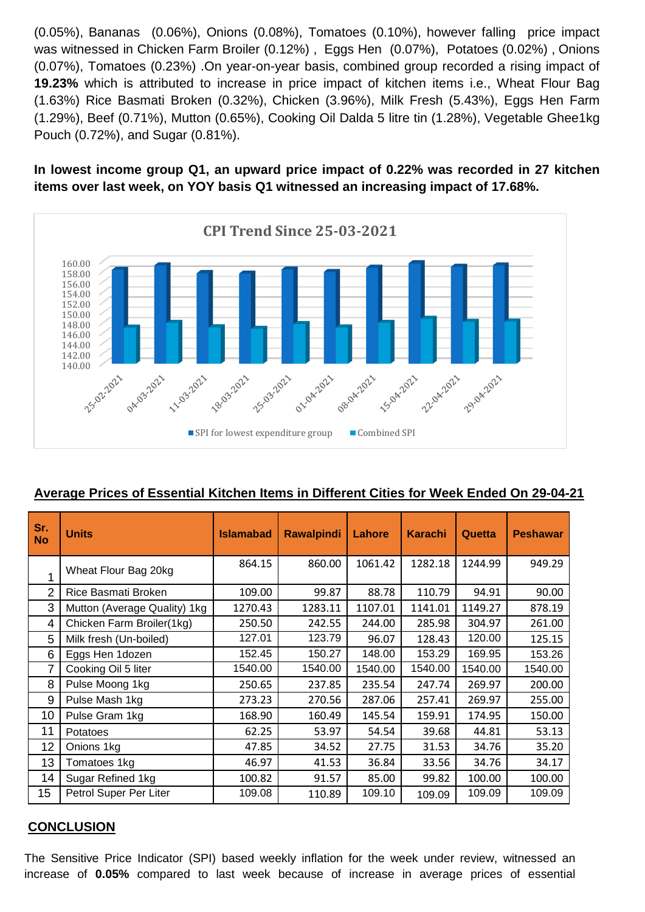(0.05%), Bananas (0.06%), Onions (0.08%), Tomatoes (0.10%), however falling price impact was witnessed in Chicken Farm Broiler (0.12%) , Eggs Hen (0.07%), Potatoes (0.02%) , Onions (0.07%), Tomatoes (0.23%) .On year-on-year basis, combined group recorded a rising impact of **19.23%** which is attributed to increase in price impact of kitchen items i.e., Wheat Flour Bag (1.63%) Rice Basmati Broken (0.32%), Chicken (3.96%), Milk Fresh (5.43%), Eggs Hen Farm (1.29%), Beef (0.71%), Mutton (0.65%), Cooking Oil Dalda 5 litre tin (1.28%), Vegetable Ghee1kg Pouch (0.72%), and Sugar (0.81%).

**In lowest income group Q1, an upward price impact of 0.22% was recorded in 27 kitchen items over last week, on YOY basis Q1 witnessed an increasing impact of 17.68%.**



|  |  |  |  | Average Prices of Essential Kitchen Items in Different Cities for Week Ended On 29-04-21 |
|--|--|--|--|------------------------------------------------------------------------------------------|
|--|--|--|--|------------------------------------------------------------------------------------------|

| Sr.<br><b>No</b> | <b>Units</b>                 | <b>Islamabad</b> | <b>Rawalpindi</b> | Lahore  | <b>Karachi</b> | Quetta  | <b>Peshawar</b> |
|------------------|------------------------------|------------------|-------------------|---------|----------------|---------|-----------------|
| 1                | Wheat Flour Bag 20kg         | 864.15           | 860.00            | 1061.42 | 1282.18        | 1244.99 | 949.29          |
| 2                | Rice Basmati Broken          | 109.00           | 99.87             | 88.78   | 110.79         | 94.91   | 90.00           |
| 3                | Mutton (Average Quality) 1kg | 1270.43          | 1283.11           | 1107.01 | 1141.01        | 1149.27 | 878.19          |
| 4                | Chicken Farm Broiler(1kg)    | 250.50           | 242.55            | 244.00  | 285.98         | 304.97  | 261.00          |
| 5                | Milk fresh (Un-boiled)       | 127.01           | 123.79            | 96.07   | 128.43         | 120.00  | 125.15          |
| 6                | Eggs Hen 1dozen              | 152.45           | 150.27            | 148.00  | 153.29         | 169.95  | 153.26          |
| 7                | Cooking Oil 5 liter          | 1540.00          | 1540.00           | 1540.00 | 1540.00        | 1540.00 | 1540.00         |
| 8                | Pulse Moong 1kg              | 250.65           | 237.85            | 235.54  | 247.74         | 269.97  | 200.00          |
| 9                | Pulse Mash 1kg               | 273.23           | 270.56            | 287.06  | 257.41         | 269.97  | 255.00          |
| 10               | Pulse Gram 1kg               | 168.90           | 160.49            | 145.54  | 159.91         | 174.95  | 150.00          |
| 11               | <b>Potatoes</b>              | 62.25            | 53.97             | 54.54   | 39.68          | 44.81   | 53.13           |
| 12               | Onions 1kg                   | 47.85            | 34.52             | 27.75   | 31.53          | 34.76   | 35.20           |
| 13               | Tomatoes 1kg                 | 46.97            | 41.53             | 36.84   | 33.56          | 34.76   | 34.17           |
| 14               | Sugar Refined 1kg            | 100.82           | 91.57             | 85.00   | 99.82          | 100.00  | 100.00          |
| 15               | Petrol Super Per Liter       | 109.08           | 110.89            | 109.10  | 109.09         | 109.09  | 109.09          |

## **CONCLUSION**

The Sensitive Price Indicator (SPI) based weekly inflation for the week under review, witnessed an increase of **0.05%** compared to last week because of increase in average prices of essential